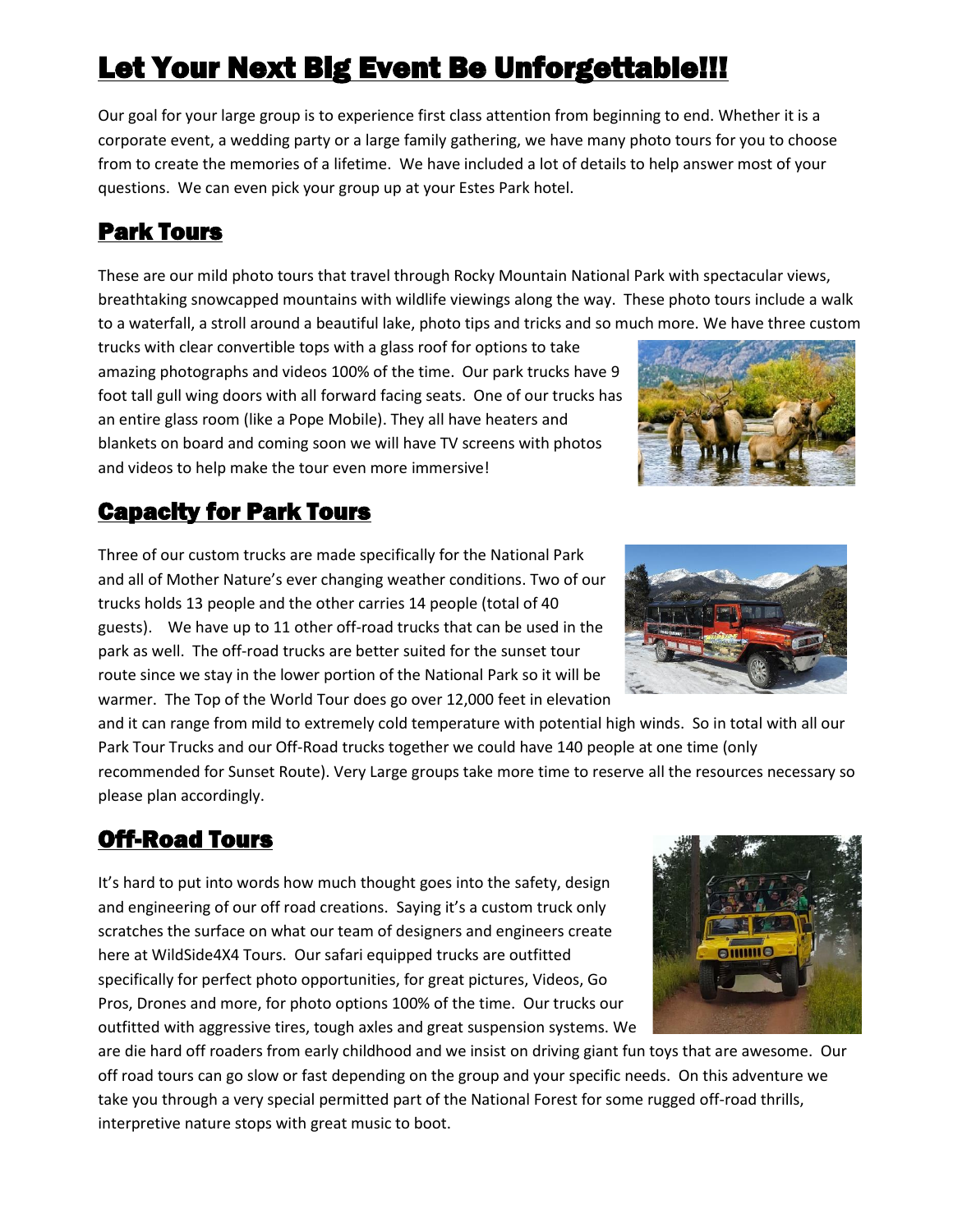# **Let Your Next Big Event Be Unforgettable!!!**

Our goal for your large group is to experience first class attention from beginning to end. Whether it is a corporate event, a wedding party or a large family gathering, we have many photo tours for you to choose from to create the memories of a lifetime. We have included a lot of details to help answer most of your questions. We can even pick your group up at your Estes Park hotel.

## Park Tours

These are our mild photo tours that travel through Rocky Mountain National Park with spectacular views, breathtaking snowcapped mountains with wildlife viewings along the way. These photo tours include a walk to a waterfall, a stroll around a beautiful lake, photo tips and tricks and so much more. We have three custom

trucks with clear convertible tops with a glass roof for options to take amazing photographs and videos 100% of the time. Our park trucks have 9 foot tall gull wing doors with all forward facing seats. One of our trucks has an entire glass room (like a Pope Mobile). They all have heaters and blankets on board and coming soon we will have TV screens with photos and videos to help make the tour even more immersive!

## Capacity for Park Tours

Three of our custom trucks are made specifically for the National Park and all of Mother Nature's ever changing weather conditions. Two of our trucks holds 13 people and the other carries 14 people (total of 40 guests). We have up to 11 other off-road trucks that can be used in the park as well. The off-road trucks are better suited for the sunset tour route since we stay in the lower portion of the National Park so it will be warmer. The Top of the World Tour does go over 12,000 feet in elevation

and it can range from mild to extremely cold temperature with potential high winds. So in total with all our Park Tour Trucks and our Off-Road trucks together we could have 140 people at one time (only recommended for Sunset Route). Very Large groups take more time to reserve all the resources necessary so please plan accordingly.

## Off-Road Tours

It's hard to put into words how much thought goes into the safety, design and engineering of our off road creations. Saying it's a custom truck only scratches the surface on what our team of designers and engineers create here at WildSide4X4 Tours. Our safari equipped trucks are outfitted specifically for perfect photo opportunities, for great pictures, Videos, Go Pros, Drones and more, for photo options 100% of the time. Our trucks our outfitted with aggressive tires, tough axles and great suspension systems. We

are die hard off roaders from early childhood and we insist on driving giant fun toys that are awesome. Our off road tours can go slow or fast depending on the group and your specific needs. On this adventure we take you through a very special permitted part of the National Forest for some rugged off-road thrills, interpretive nature stops with great music to boot.







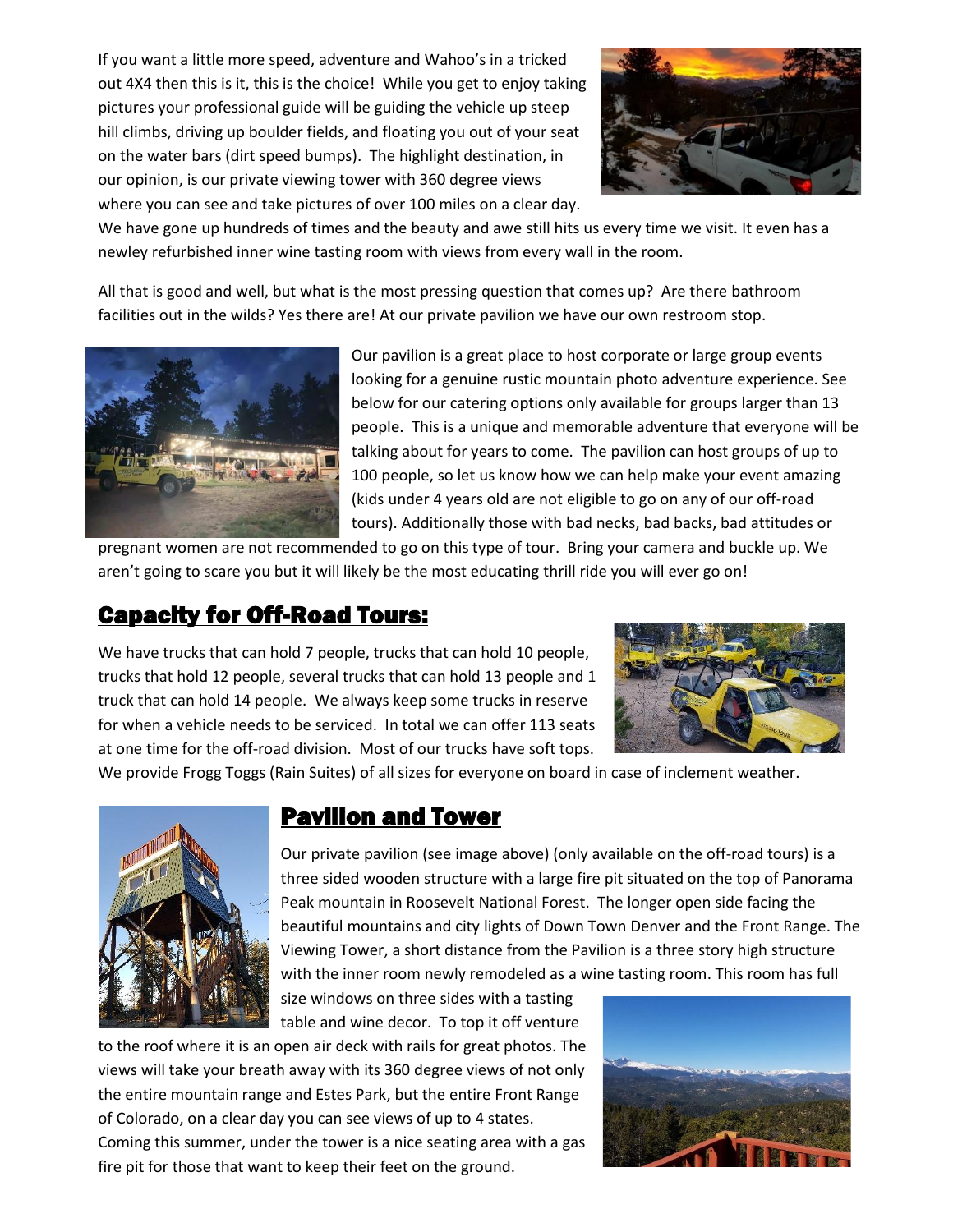If you want a little more speed, adventure and Wahoo's in a tricked out 4X4 then this is it, this is the choice! While you get to enjoy taking pictures your professional guide will be guiding the vehicle up steep hill climbs, driving up boulder fields, and floating you out of your seat on the water bars (dirt speed bumps). The highlight destination, in our opinion, is our private viewing tower with 360 degree views where you can see and take pictures of over 100 miles on a clear day.



We have gone up hundreds of times and the beauty and awe still hits us every time we visit. It even has a newley refurbished inner wine tasting room with views from every wall in the room.

All that is good and well, but what is the most pressing question that comes up? Are there bathroom facilities out in the wilds? Yes there are! At our private pavilion we have our own restroom stop.



Our pavilion is a great place to host corporate or large group events looking for a genuine rustic mountain photo adventure experience. See below for our catering options only available for groups larger than 13 people. This is a unique and memorable adventure that everyone will be talking about for years to come. The pavilion can host groups of up to 100 people, so let us know how we can help make your event amazing (kids under 4 years old are not eligible to go on any of our off-road tours). Additionally those with bad necks, bad backs, bad attitudes or

pregnant women are not recommended to go on this type of tour. Bring your camera and buckle up. We aren't going to scare you but it will likely be the most educating thrill ride you will ever go on!

### Capacity for Off-Road Tours:

We have trucks that can hold 7 people, trucks that can hold 10 people, trucks that hold 12 people, several trucks that can hold 13 people and 1 truck that can hold 14 people. We always keep some trucks in reserve for when a vehicle needs to be serviced. In total we can offer 113 seats at one time for the off-road division. Most of our trucks have soft tops.



We provide Frogg Toggs (Rain Suites) of all sizes for everyone on board in case of inclement weather.



#### Pavilion and Tower

Our private pavilion (see image above) (only available on the off-road tours) is a three sided wooden structure with a large fire pit situated on the top of Panorama Peak mountain in Roosevelt National Forest. The longer open side facing the beautiful mountains and city lights of Down Town Denver and the Front Range. The Viewing Tower, a short distance from the Pavilion is a three story high structure with the inner room newly remodeled as a wine tasting room. This room has full

size windows on three sides with a tasting table and wine decor. To top it off venture

to the roof where it is an open air deck with rails for great photos. The views will take your breath away with its 360 degree views of not only the entire mountain range and Estes Park, but the entire Front Range of Colorado, on a clear day you can see views of up to 4 states. Coming this summer, under the tower is a nice seating area with a gas fire pit for those that want to keep their feet on the ground.

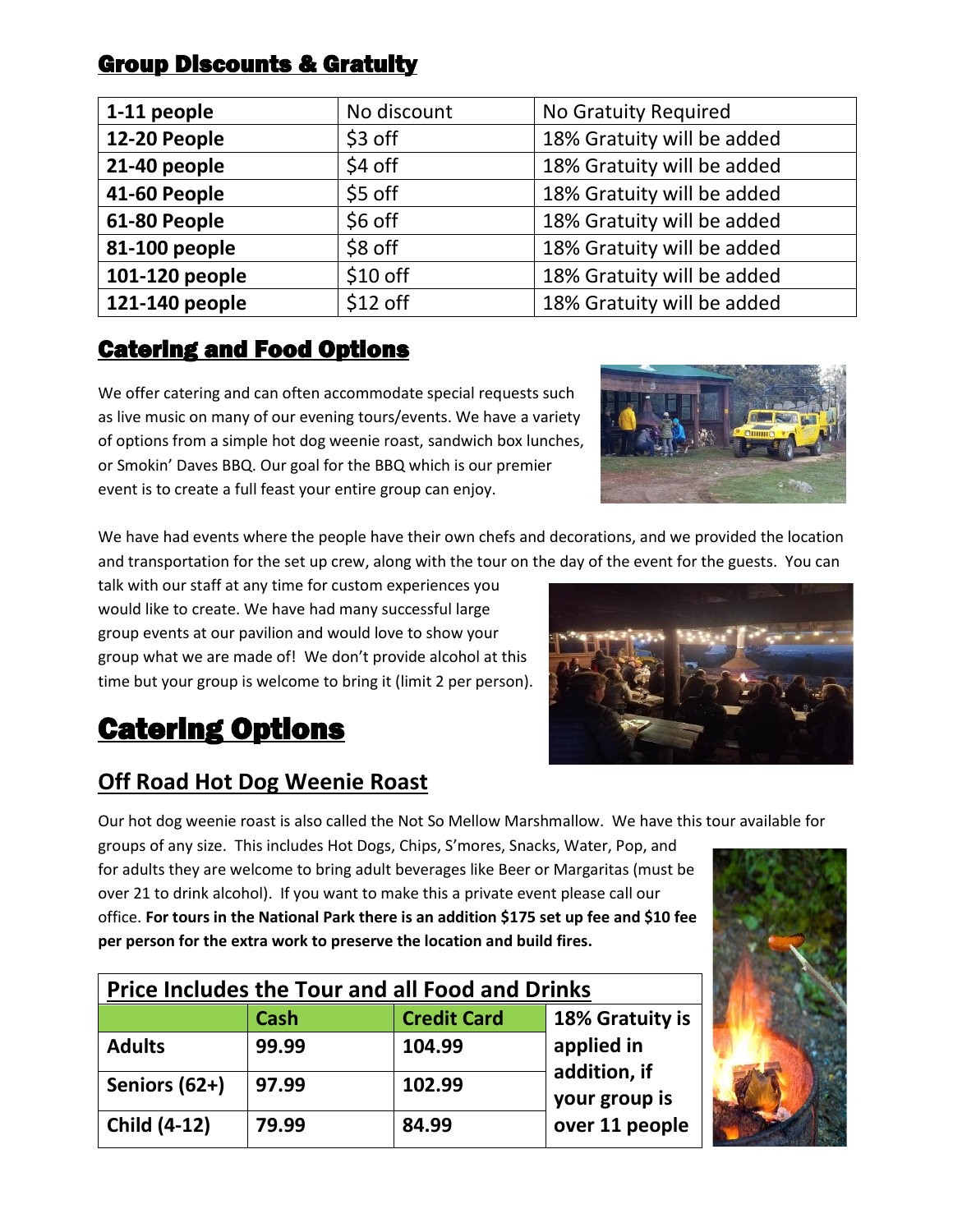|  | <b>Group Discounts &amp; Gratuity</b> |
|--|---------------------------------------|
|  |                                       |

| 1-11 people    | No discount | No Gratuity Required       |  |
|----------------|-------------|----------------------------|--|
| 12-20 People   | \$3 off     | 18% Gratuity will be added |  |
| 21-40 people   | \$4 off     | 18% Gratuity will be added |  |
| 41-60 People   | \$5 off     | 18% Gratuity will be added |  |
| 61-80 People   | \$6 off     | 18% Gratuity will be added |  |
| 81-100 people  | \$8 off     | 18% Gratuity will be added |  |
| 101-120 people | \$10 off    | 18% Gratuity will be added |  |
| 121-140 people | $$12$ off   | 18% Gratuity will be added |  |

## Catering and Food Options

We offer catering and can often accommodate special requests such as live music on many of our evening tours/events. We have a variety of options from a simple hot dog weenie roast, sandwich box lunches, or Smokin' Daves BBQ. Our goal for the BBQ which is our premier event is to create a full feast your entire group can enjoy.



We have had events where the people have their own chefs and decorations, and we provided the location and transportation for the set up crew, along with the tour on the day of the event for the guests. You can

talk with our staff at any time for custom experiences you would like to create. We have had many successful large group events at our pavilion and would love to show your group what we are made of! We don't provide alcohol at this time but your group is welcome to bring it (limit 2 per person).



# Catering Options

## **Off Road Hot Dog Weenie Roast**

Our hot dog weenie roast is also called the Not So Mellow Marshmallow. We have this tour available for

groups of any size. This includes Hot Dogs, Chips, S'mores, Snacks, Water, Pop, and for adults they are welcome to bring adult beverages like Beer or Margaritas (must be over 21 to drink alcohol). If you want to make this a private event please call our office. **For tours in the National Park there is an addition \$175 set up fee and \$10 fee per person for the extra work to preserve the location and build fires.**

| <b>Price Includes the Tour and all Food and Drinks</b> |             |                    |                            |  |
|--------------------------------------------------------|-------------|--------------------|----------------------------|--|
|                                                        | <b>Cash</b> | <b>Credit Card</b> | 18% Gratuity is            |  |
| <b>Adults</b>                                          | 99.99       | 104.99             | applied in<br>addition, if |  |
| Seniors (62+)                                          | 97.99       | 102.99             | your group is              |  |
| <b>Child (4-12)</b>                                    | 79.99       | 84.99              | over 11 people             |  |